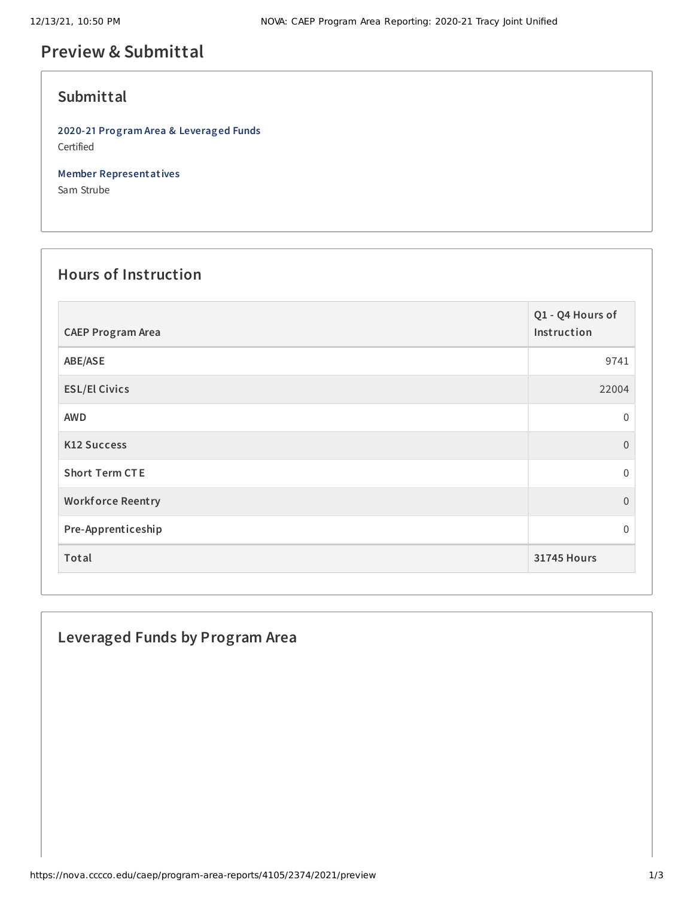# **Preview & Submittal**

## **Submittal**

**2020-21 Program Area & Leveraged Funds** Certified

**Member Representatives**

Sam Strube

# **Hours of Instruction**

| <b>CAEP Program Area</b> | Q1 - Q4 Hours of<br>Instruction |
|--------------------------|---------------------------------|
| ABE/ASE                  | 9741                            |
| <b>ESL/El Civics</b>     | 22004                           |
| <b>AWD</b>               | $\mathbf 0$                     |
| <b>K12 Success</b>       | $\mathbf{0}$                    |
| <b>Short Term CTE</b>    | $\Omega$                        |
| <b>Workforce Reentry</b> | $\mathbf{0}$                    |
| Pre-Apprenticeship       | $\mathbf 0$                     |
| Total                    | <b>31745 Hours</b>              |

## **Leveraged Funds by Program Area**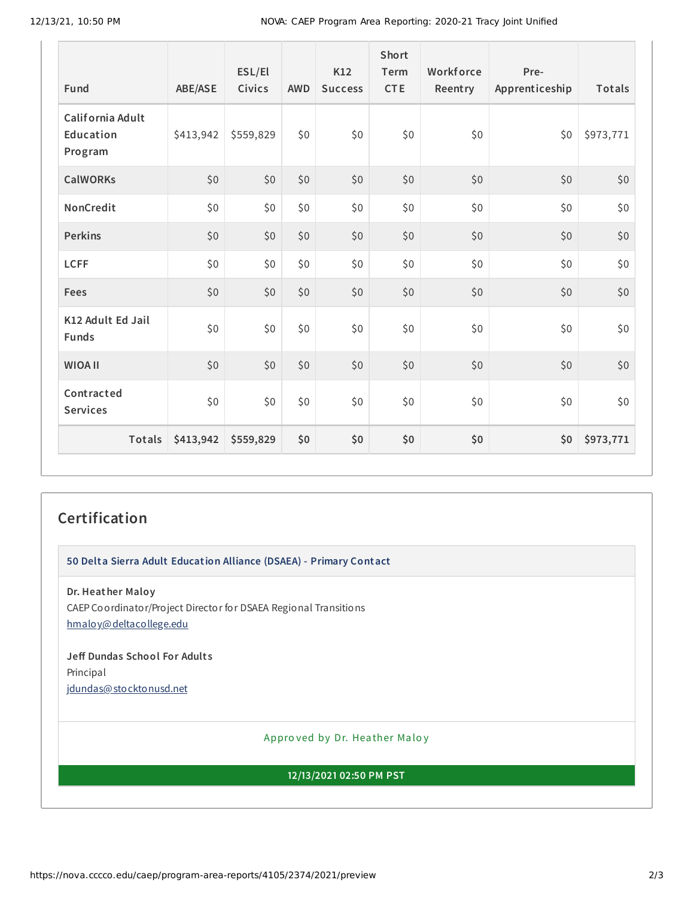| Fund                                     | <b>ABE/ASE</b> | ESL/El<br>Civics | <b>AWD</b> | K12<br><b>Success</b> | <b>Short</b><br>Term<br><b>CTE</b> | Workforce<br>Reentry | Pre-<br>Apprenticeship | Totals    |
|------------------------------------------|----------------|------------------|------------|-----------------------|------------------------------------|----------------------|------------------------|-----------|
| California Adult<br>Education<br>Program | \$413,942      | \$559,829        | \$0        | \$0                   | \$0                                | \$0                  | \$0                    | \$973,771 |
| <b>CalWORKs</b>                          | \$0            | \$0              | \$0        | \$0                   | \$0                                | \$0                  | \$0                    | \$0       |
| NonCredit                                | \$0            | \$0              | \$0        | \$0                   | \$0                                | \$0                  | \$0                    | \$0       |
| <b>Perkins</b>                           | \$0            | \$0              | \$0        | \$0                   | \$0                                | \$0                  | \$0                    | $$0$$     |
| <b>LCFF</b>                              | \$0            | \$0              | \$0        | \$0                   | \$0                                | \$0                  | \$0                    | \$0       |
| Fees                                     | \$0            | \$0              | \$0        | \$0                   | \$0                                | \$0                  | \$0\$                  | \$0       |
| K12 Adult Ed Jail<br><b>Funds</b>        | \$0            | \$0              | \$0        | \$0                   | \$0                                | \$0                  | \$0\$                  | \$0       |
| <b>WIOA II</b>                           | \$0            | \$0              | \$0        | \$0                   | \$0                                | \$0                  | \$0                    | \$0       |
| Contracted<br><b>Services</b>            | \$0            | \$0              | \$0        | \$0                   | \$0                                | \$0                  | \$0                    | \$0       |
| <b>Totals</b>                            | \$413,942      | \$559,829        | \$0        | \$0                   | \$0                                | \$0                  | \$0                    | \$973,771 |

#### **Certification**

**50 Delta Sierra Adult Education Alliance (DSAEA) - Primary Contact**

**Dr. Heather Maloy** CAEP Coordinator/Project Director for DSAEA Regional Transitions [hmaloy@deltacollege.edu](mailto:hmaloy@deltacollege.edu)

**Jeff Dundas School For Adult s** Principal [jdundas@stocktonusd.net](mailto:jdundas@stocktonusd.net)

Appro ved by Dr. Heather Maloy

**12/13/2021 02:50 PM PST**